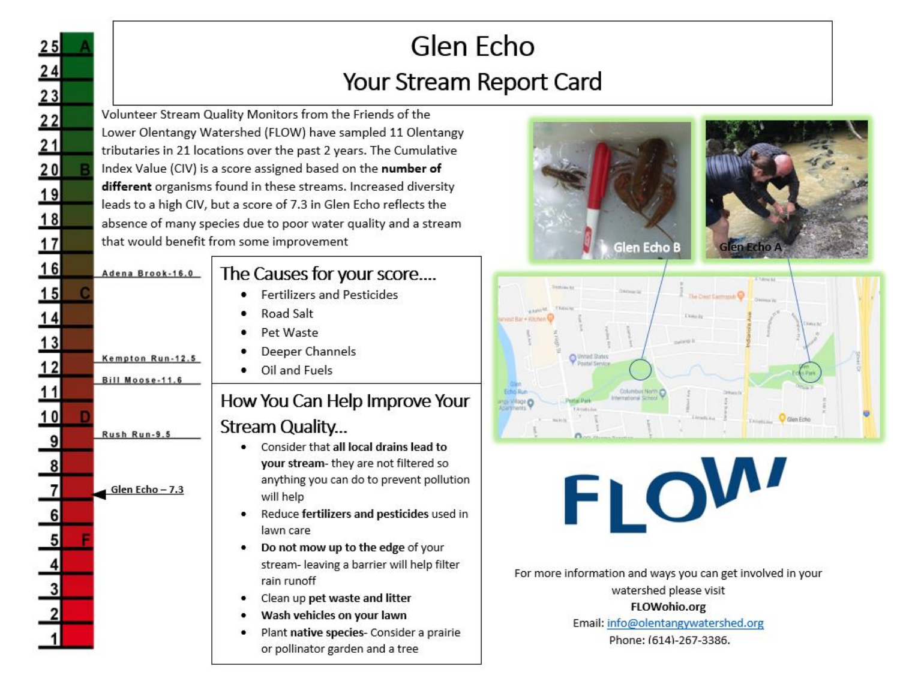## Glen Echo Your Stream Report Card

Volunteer Stream Quality Monitors from the Friends of the Lower Olentangy Watershed (FLOW) have sampled 11 Olentangy tributaries in 21 locations over the past 2 years. The Cumulative Index Value (CIV) is a score assigned based on the number of different organisms found in these streams. Increased diversity leads to a high CIV, but a score of 7.3 in Glen Echo reflects the absence of many species due to poor water quality and a stream that would benefit from some improvement

 $\frac{25}{12}$   $\frac{22}{12}$   $\frac{23}{12}$   $\frac{24}{12}$   $\frac{25}{12}$ 

 $16$ 

 $\frac{15}{14}$   $\frac{14}{13}$ 

 $12$ 

 $11$ 

Adena Brook-16.0

Kempton Run-12.5

Bill Moose-11.6

Rush Run-9.5

Glen Echo-7.3

### The Causes for your score....

- **Fertilizers and Pesticides**
- Road Salt
- Pet Waste
- Deeper Channels
- Oil and Fuels ٠

### How You Can Help Improve Your Stream Quality...

- Consider that all local drains lead to your stream- they are not filtered so anything you can do to prevent pollution will help
- Reduce fertilizers and pesticides used in lawn care
- Do not mow up to the edge of your  $\bullet$  . stream- leaving a barrier will help filter rain runoff
- Clean up pet waste and litter
- Wash vehicles on your lawn
- Plant native species- Consider a prairie or pollinator garden and a tree







# FLOW

For more information and ways you can get involved in your watershed please visit **FLOWohio.org** 

Email: info@olentangywatershed.org

Phone: (614)-267-3386.